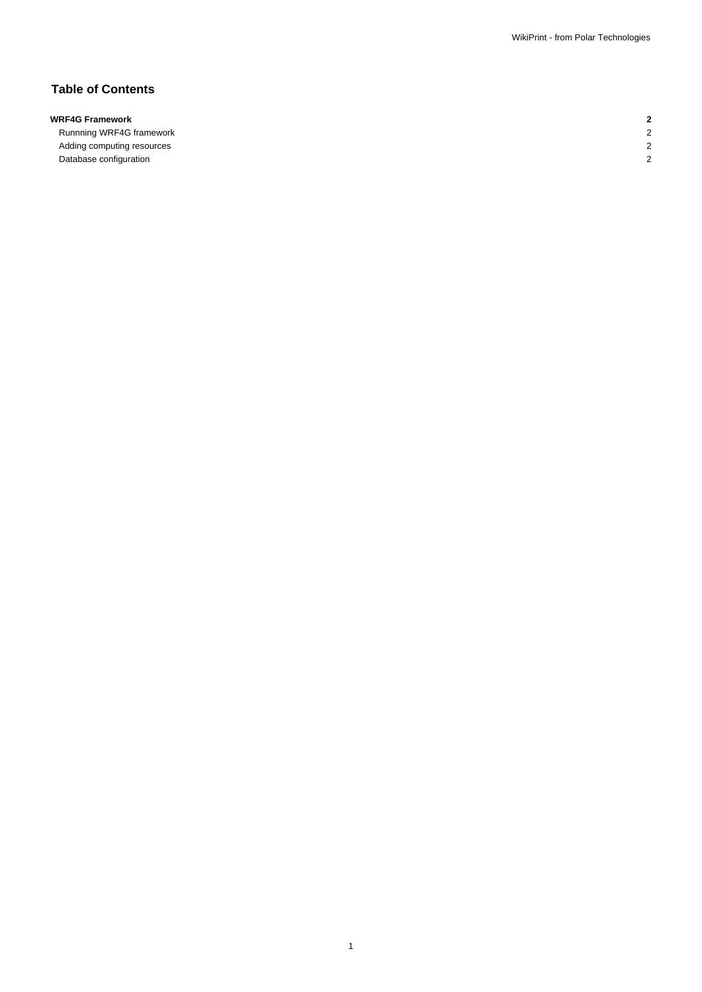# **Table of Contents**

# **WRF4G Framework 2**

Runnning WRF4G framework 2 Adding computing resources 2 Database configuration 2